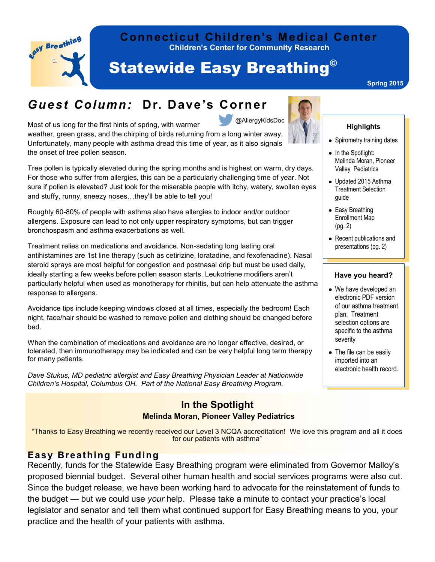

### **Children's Center for Community Research Connecticut Children's Medical Center**

# Statewide Easy Breathing©

#### **Spring 2015**

### *Guest Column:* **Dr. Dave's Corner**

Most of us long for the first hints of spring, with warmer weather, green grass, and the chirping of birds returning from a long winter away. Unfortunately, many people with asthma dread this time of year, as it also signals the onset of tree pollen season. @AllergyKidsDoc



#### **Highlights**

- Spirometry training dates
- $\bullet$  In the Spotlight: Melinda Moran, Pioneer Valley Pediatrics
- Updated 2015 Asthma Treatment Selection guide
- Easy Breathing Enrollment Map (pg. 2)
- Recent publications and presentations (pg. 2)

#### **Have you heard?**

- We have developed an electronic PDF version of our asthma treatment plan. Treatment selection options are specific to the asthma severity
- The file can be easily imported into an electronic health record.

For those who suffer from allergies, this can be a particularly challenging time of year. Not sure if pollen is elevated? Just look for the miserable people with itchy, watery, swollen eyes and stuffy, runny, sneezy noses…they'll be able to tell you!

Tree pollen is typically elevated during the spring months and is highest on warm, dry days.

Roughly 60-80% of people with asthma also have allergies to indoor and/or outdoor allergens. Exposure can lead to not only upper respiratory symptoms, but can trigger bronchospasm and asthma exacerbations as well.

Treatment relies on medications and avoidance. Non-sedating long lasting oral antihistamines are 1st line therapy (such as cetirizine, loratadine, and fexofenadine). Nasal steroid sprays are most helpful for congestion and postnasal drip but must be used daily, ideally starting a few weeks before pollen season starts. Leukotriene modifiers aren't particularly helpful when used as monotherapy for rhinitis, but can help attenuate the asthma response to allergens.

Avoidance tips include keeping windows closed at all times, especially the bedroom! Each night, face/hair should be washed to remove pollen and clothing should be changed before bed.

When the combination of medications and avoidance are no longer effective, desired, or tolerated, then immunotherapy may be indicated and can be very helpful long term therapy for many patients.

*Dave Stukus, MD pediatric allergist and Easy Breathing Physician Leader at Nationwide Children's Hospital, Columbus OH. Part of the National Easy Breathing Program.*

### **In the Spotlight Melinda Moran, Pioneer Valley Pediatrics**

"Thanks to Easy Breathing we recently received our Level 3 NCQA accreditation! We love this program and all it does for our patients with asthma"

#### **Easy Breathing Funding**

Recently, funds for the Statewide Easy Breathing program were eliminated from Governor Malloy's proposed biennial budget. Several other human health and social services programs were also cut. Since the budget release, we have been working hard to advocate for the reinstatement of funds to the budget — but we could use *your* help. Please take a minute to contact your practice's local legislator and senator and tell them what continued support for Easy Breathing means to you, your practice and the health of your patients with asthma.